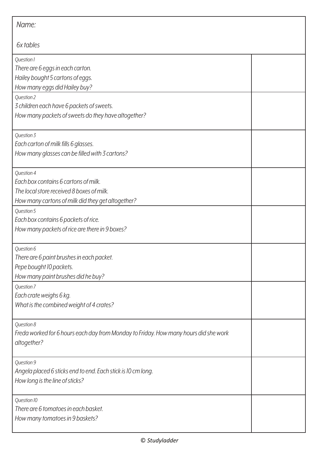| Name:                                                                                                                                                |  |  |
|------------------------------------------------------------------------------------------------------------------------------------------------------|--|--|
| 6x tables                                                                                                                                            |  |  |
| Question 1<br>There are 6 eggs in each carton.<br>Hailey bought 5 cartons of eggs.<br>How many eggs did Hailey buy?                                  |  |  |
| Question 2<br>3 children each have 6 packets of sweets.<br>How many packets of sweets do they have altogether?                                       |  |  |
| Question 3<br>Each carton of milk fills 6 glasses.<br>How many glasses can be filled with 3 cartons?                                                 |  |  |
| Question 4<br>Each box contains 6 cartons of milk.<br>The local store received 8 boxes of milk.<br>How many cartons of milk did they get altogether? |  |  |
| Question 5<br>Each box contains 6 packets of rice.<br>How many packets of rice are there in 9 boxes?                                                 |  |  |
| Question 6<br>There are 6 paint brushes in each packet.<br>Pepe bought 10 packets.<br>How many paint brushes did he buy?                             |  |  |
| Question 7<br>Each crate weighs 6 kg.<br>What is the combined weight of 4 crates?                                                                    |  |  |
| Question 8<br>Freda worked for 6 hours each day from Monday to Friday. How many hours did she work<br>altogether?                                    |  |  |
| Question 9<br>Angela placed 6 sticks end to end. Each stick is 10 cm long.<br>How long is the line of sticks?                                        |  |  |
| Question 10<br>There are 6 tomatoes in each basket.<br>How many tomatoes in 9 baskets?                                                               |  |  |